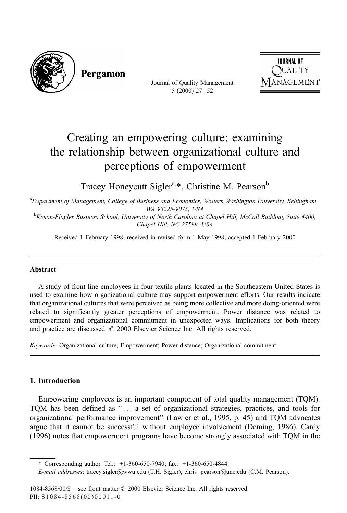

Pergamon

Journal of Quality Management  $5(2000)$   $27-52$ 



# Creating an empowering culture: examining the relationship between organizational culture and perceptions of empowerment

Tracey Honeycutt Sigler<sup>a,\*</sup>, Christine M. Pearson<sup>b</sup>

<sup>a</sup>Department of Management, College of Business and Economics, Western Washington University, Bellingham, WA 98225-9075, USA<br>BKenan-Flagler Business School, University of North Carolina at Chapel Hill, McColl Building, Suite 4400,

Chapel Hill, NC 27599, USA

Received 1 February 1998; received in revised form 1 May 1998; accepted 1 February 2000

#### Abstract

A study of front line employees in four textile plants located in the Southeastern United States is used to examine how organizational culture may support empowerment efforts. Our results indicate that organizational cultures that were perceived as being more collective and more doing-oriented were related to significantly greater perceptions of empowerment. Power distance was related to empowerment and organizational commitment in unexpected ways. Implications for both theory and practice are discussed.  $\oslash$  2000 Elsevier Science Inc. All rights reserved.

Keywords: Organizational culture; Empowerment; Power distance; Organizational commitment

### 1. Introduction

Empowering employees is an important component of total quality management (TQM). TOM has been defined as "... a set of organizational strategies, practices, and tools for organizational performance improvement'' (Lawler et al., 1995, p. 45) and TQM advocates argue that it cannot be successful without employee involvement (Deming, 1986). Cardy (1996) notes that empowerment programs have become strongly associated with TQM in the

<sup>\*</sup> Corresponding author. Tel.: +1-360-650-7940; fax: +1-360-650-4844.

E-mail addresses: tracey.sigler@wwu.edu (T.H. Sigler), chris\_ pearson@unc.edu (C.M. Pearson).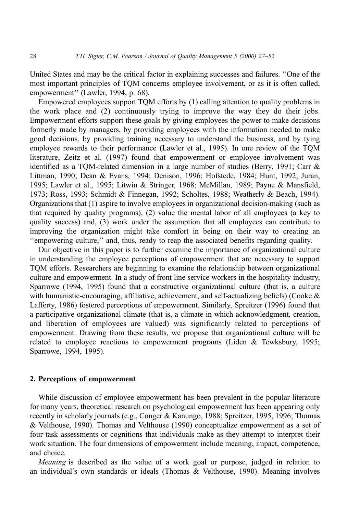United States and may be the critical factor in explaining successes and failures. "One of the most important principles of TQM concerns employee involvement, or as it is often called, empowerment'' (Lawler, 1994, p. 68).

Empowered employees support TQM efforts by (1) calling attention to quality problems in the work place and (2) continuously trying to improve the way they do their jobs. Empowerment efforts support these goals by giving employees the power to make decisions formerly made by managers, by providing employees with the information needed to make good decisions, by providing training necessary to understand the business, and by tying employee rewards to their performance (Lawler et al., 1995). In one review of the TQM literature, Zeitz et al. (1997) found that empowerment or employee involvement was identified as a TQM-related dimension in a large number of studies (Berry, 1991; Carr  $\&$ Littman, 1990; Dean & Evans, 1994; Denison, 1996; Hofstede, 1984; Hunt, 1992; Juran, 1995; Lawler et al., 1995; Litwin & Stringer, 1968; McMillan, 1989; Payne & Mansfield, 1973; Ross, 1993; Schmidt & Finnegan, 1992; Scholtes, 1988; Weatherly & Beach, 1994). Organizations that (1) aspire to involve employees in organizational decision-making (such as that required by quality programs), (2) value the mental labor of all employees (a key to quality success) and, (3) work under the assumption that all employees can contribute to improving the organization might take comfort in being on their way to creating an ``empowering culture,'' and, thus, ready to reap the associated benefits regarding quality.

Our objective in this paper is to further examine the importance of organizational culture in understanding the employee perceptions of empowerment that are necessary to support TQM efforts. Researchers are beginning to examine the relationship between organizational culture and empowerment. In a study of front line service workers in the hospitality industry, Sparrowe (1994, 1995) found that a constructive organizational culture (that is, a culture with humanistic-encouraging, affiliative, achievement, and self-actualizing beliefs) (Cooke  $\&$ Lafferty, 1986) fostered perceptions of empowerment. Similarly, Spreitzer (1996) found that a participative organizational climate (that is, a climate in which acknowledgment, creation, and liberation of employees are valued) was significantly related to perceptions of empowerment. Drawing from these results, we propose that organizational culture will be related to employee reactions to empowerment programs (Liden  $&$  Tewksbury, 1995; Sparrowe, 1994, 1995).

#### 2. Perceptions of empowerment

While discussion of employee empowerment has been prevalent in the popular literature for many years, theoretical research on psychological empowerment has been appearing only recently in scholarly journals (e.g., Conger & Kanungo, 1988; Spreitzer, 1995, 1996; Thomas & Velthouse, 1990). Thomas and Velthouse (1990) conceptualize empowerment as a set of four task assessments or cognitions that individuals make as they attempt to interpret their work situation. The four dimensions of empowerment include meaning, impact, competence, and choice.

Meaning is described as the value of a work goal or purpose, judged in relation to an individual's own standards or ideals (Thomas & Velthouse, 1990). Meaning involves